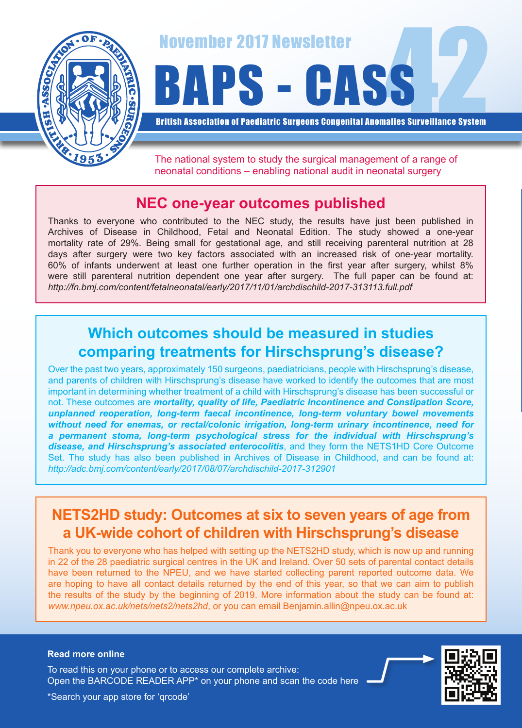

November 2017 Newsletter<br>BAPS - CASS

British Association of Paediatric Surgeons Congenital Anomalies Surveillance System

The national system to study the surgical management of a range of neonatal conditions – enabling national audit in neonatal surgery

## **NEC one-year outcomes published**

Thanks to everyone who contributed to the NEC study, the results have just been published in Archives of Disease in Childhood, Fetal and Neonatal Edition. The study showed a one-year mortality rate of 29%. Being small for gestational age, and still receiving parenteral nutrition at 28 days after surgery were two key factors associated with an increased risk of one-year mortality. 60% of infants underwent at least one further operation in the first year after surgery, whilst 8% were still parenteral nutrition dependent one year after surgery. The full paper can be found at: *http://fn.bmj.com/content/fetalneonatal/early/2017/11/01/archdischild-2017-313113.full.pdf*

# **Which outcomes should be measured in studies comparing treatments for Hirschsprung's disease?**

Over the past two years, approximately 150 surgeons, paediatricians, people with Hirschsprung's disease, and parents of children with Hirschsprung's disease have worked to identify the outcomes that are most important in determining whether treatment of a child with Hirschsprung's disease has been successful or not. These outcomes are *mortality, quality of life, Paediatric Incontinence and Constipation Score, unplanned reoperation, long-term faecal incontinence, long-term voluntary bowel movements without need for enemas, or rectal/colonic irrigation, long-term urinary incontinence, need for a permanent stoma, long-term psychological stress for the individual with Hirschsprung's disease, and Hirschsprung's associated enterocolitis*, and they form the NETS1HD Core Outcome Set. The study has also been published in Archives of Disease in Childhood, and can be found at: *http://adc.bmj.com/content/early/2017/08/07/archdischild-2017-312901*

## **NETS2HD study: Outcomes at six to seven years of age from a UK-wide cohort of children with Hirschsprung's disease**

Thank you to everyone who has helped with setting up the NETS2HD study, which is now up and running in 22 of the 28 paediatric surgical centres in the UK and Ireland. Over 50 sets of parental contact details have been returned to the NPEU, and we have started collecting parent reported outcome data. We are hoping to have all contact details returned by the end of this year, so that we can aim to publish the results of the study by the beginning of 2019. More information about the study can be found at: *www.npeu.ox.ac.uk/nets/nets2/nets2hd*, or you can email Benjamin.allin@npeu.ox.ac.uk

#### **Read more online**

Open the BARCODE READER APP\* on your phone and scan the code here To read this on your phone or to access our complete archive:



\*Search your app store for 'qrcode'